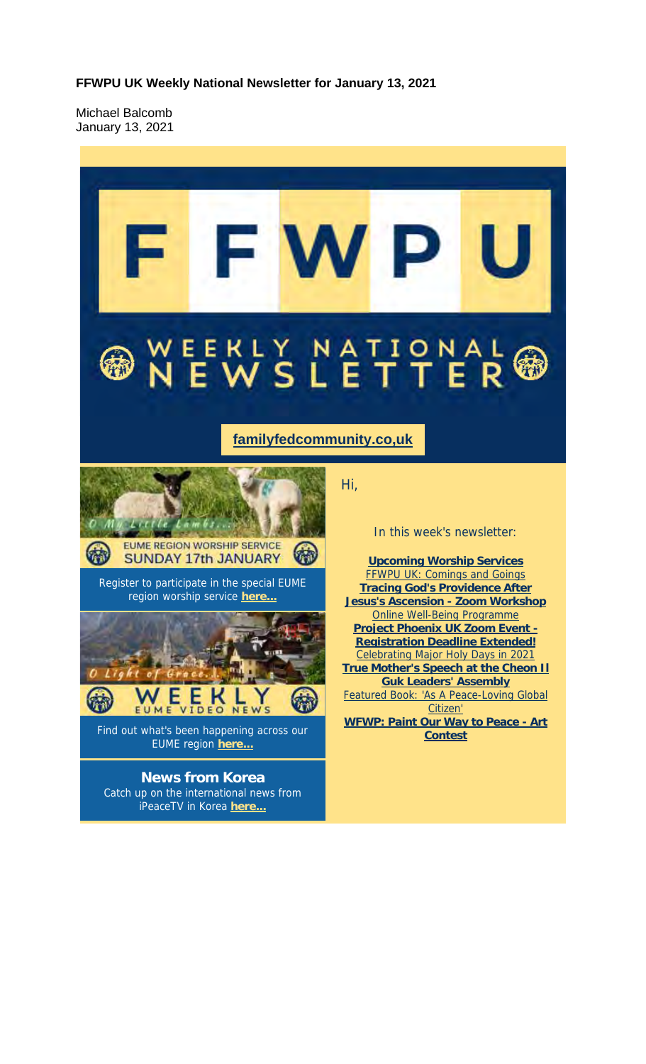**FFWPU UK Weekly National Newsletter for January 13, 2021**

Michael Balcomb January 13, 2021

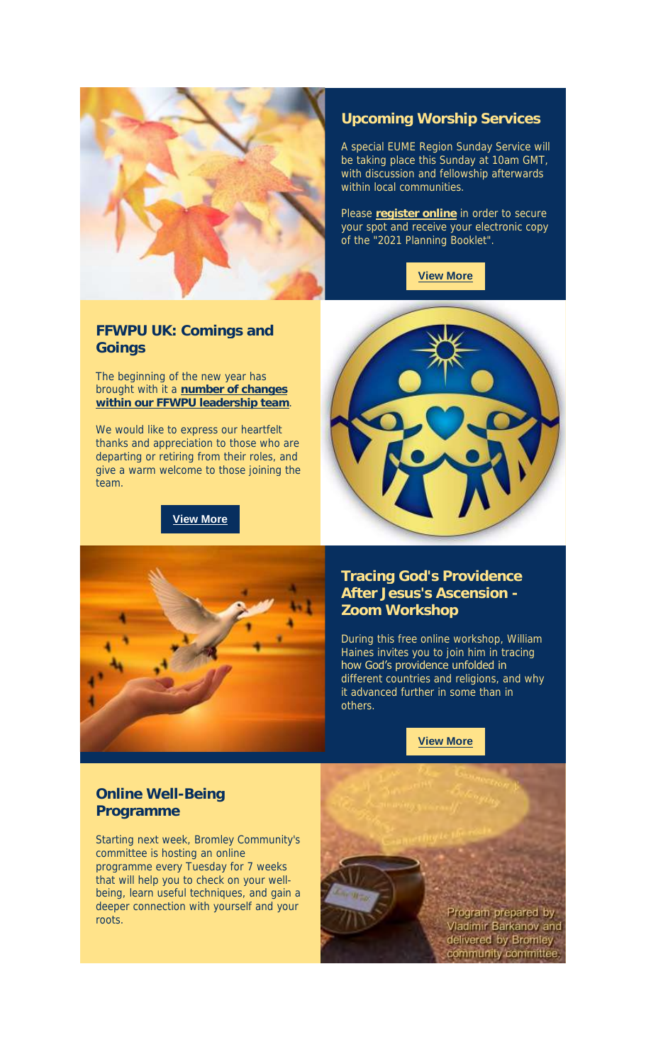

#### **Upcoming Worship Services**

A special EUME Region Sunday Service will be taking place this Sunday at 10am GMT, with discussion and fellowship afterwards within local communities.

Please **register online** in order to secure your spot and receive your electronic copy of the "2021 Planning Booklet".



#### **FFWPU UK: Comings and Goings**

The beginning of the new year has brought with it a **number of changes within our FFWPU leadership team**.

We would like to express our heartfelt thanks and appreciation to those who are departing or retiring from their roles, and give a warm welcome to those joining the team.

#### **View More**





#### **Tracing God's Providence After Jesus's Ascension - Zoom Workshop**

During this free online workshop, William Haines invites you to join him in tracing how God's providence unfolded in different countries and religions, and why it advanced further in some than in others.

#### **View More**

### **Online Well-Being Programme**

Starting next week, Bromley Community's committee is hosting an online programme every Tuesday for 7 weeks that will help you to check on your wellbeing, learn useful techniques, and gain a deeper connection with yourself and your roots.

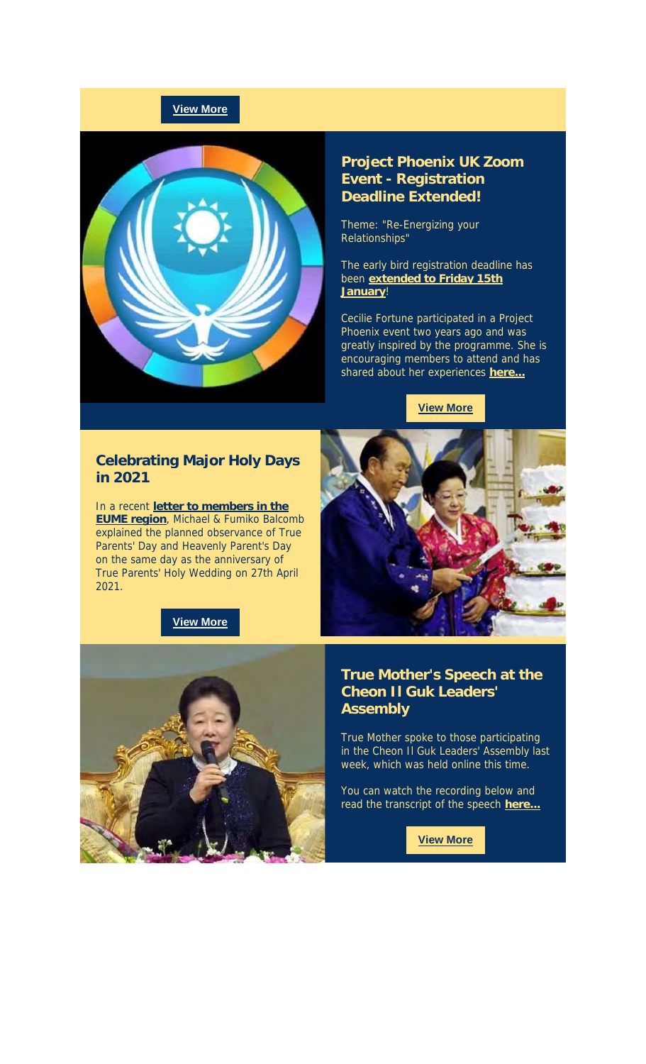### **View More**



#### **Project Phoenix UK Zoom Event - Registration Deadline Extended!**

Theme: "Re-Energizing your Relationships"

The early bird registration deadline has been **extended to Friday 15th January**!

Cecilie Fortune participated in a Project Phoenix event two years ago and was greatly inspired by the programme. She is encouraging members to attend and has shared about her experiences **here...**

**View More**

#### **Celebrating Major Holy Days in 2021**

In a recent **letter to members in the EUME region**, Michael & Fumiko Balcomb explained the planned observance of True Parents' Day and Heavenly Parent's Day on the same day as the anniversary of True Parents' Holy Wedding on 27th April 2021.







#### **True Mother's Speech at the Cheon Il Guk Leaders' Assembly**

True Mother spoke to those participating in the Cheon Il Guk Leaders' Assembly last week, which was held online this time.

You can watch the recording below and read the transcript of the speech **here...**

**View More**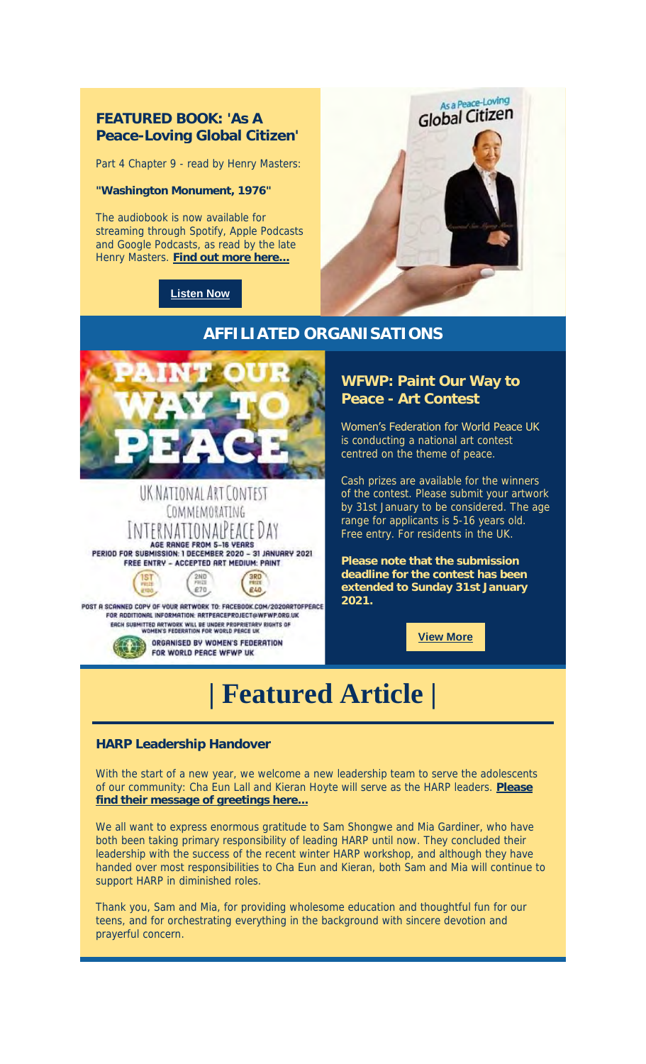### **FEATURED BOOK: 'As A Peace-Loving Global Citizen'**

Part 4 Chapter 9 - read by Henry Masters:

**"Washington Monument, 1976"**

The audiobook is now available for streaming through Spotify, Apple Podcasts and Google Podcasts, as read by the late Henry Masters. **Find out more here...**

### **Listen Now**





#### UK NATIONAL ART CONTEST COMMEMORATING INTERNATIONALPEACE DAY AGE RANGE FROM 5-16 VEARS<br>PERIOD FOR SUBMISSION: 1 DECEMBER 2020 - 31 JANUARY 2021 FREE ENTRY - ACCEPTED ART MEDIUM: PAINT

POST A SCANNED COPY OF YOUR ARTWORK TO: FACEBOOK.COM/2020ARTOFPEACE<br>FOR ADDITIONAL INFORMATION: ARTPEACEPROJECT@WFWP.ORG.UK ERCH SUBMITTED ARTWORK WILL BE UNDER PROPRIETARY RIGHTS OF

2ND

 $E70$ 

3RD

£40

ORGANISED BY WOMEN'S FEDERATION FOR WORLD PEACE WFWP UK

**WFWP: Paint Our Way to Peace - Art Contest**

Women's Federation for World Peace UK is conducting a national art contest centred on the theme of peace.

Cash prizes are available for the winners of the contest. Please submit your artwork by 31st January to be considered. The age range for applicants is 5-16 years old. Free entry. For residents in the UK.

**Please note that the submission deadline for the contest has been extended to Sunday 31st January 2021.**

**View More**

# **| Featured Article |**

#### **HARP Leadership Handover**

With the start of a new year, we welcome a new leadership team to serve the adolescents of our community: Cha Eun Lall and Kieran Hoyte will serve as the HARP leaders. **Please find their message of greetings here...**

We all want to express enormous gratitude to Sam Shongwe and Mia Gardiner, who have both been taking primary responsibility of leading HARP until now. They concluded their leadership with the success of the recent winter HARP workshop, and although they have handed over most responsibilities to Cha Eun and Kieran, both Sam and Mia will continue to support HARP in diminished roles.

Thank you, Sam and Mia, for providing wholesome education and thoughtful fun for our teens, and for orchestrating everything in the background with sincere devotion and prayerful concern.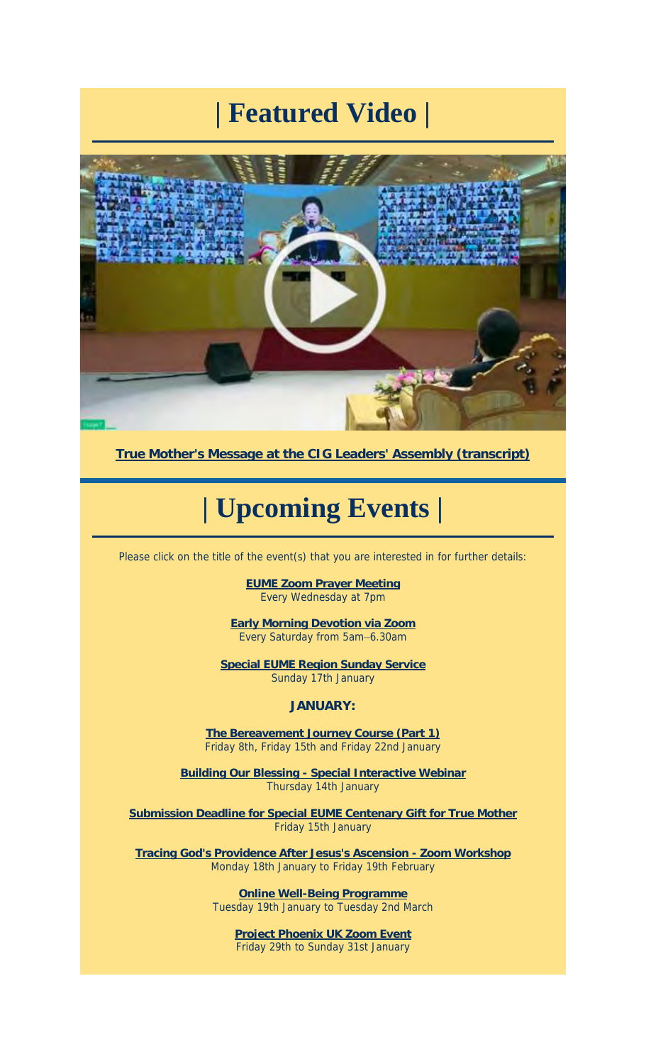# **| Featured Video |**



**True Mother's Message at the CIG Leaders' Assembly (transcript)**

## **| Upcoming Events |**

Please click on the title of the event(s) that you are interested in for further details:

**EUME Zoom Prayer Meeting** Every Wednesday at 7pm

**Early Morning Devotion via Zoom** Every Saturday from 5am–6.30am

**Special EUME Region Sunday Service** Sunday 17th January

**JANUARY:**

**The Bereavement Journey Course (Part 1)** Friday 8th, Friday 15th and Friday 22nd January

**Building Our Blessing - Special Interactive Webinar** Thursday 14th January

**Submission Deadline for Special EUME Centenary Gift for True Mother** Friday 15th January

**Tracing God's Providence After Jesus's Ascension - Zoom Workshop** Monday 18th January to Friday 19th February

> **Online Well-Being Programme** Tuesday 19th January to Tuesday 2nd March

**Project Phoenix UK Zoom Event** Friday 29th to Sunday 31st January